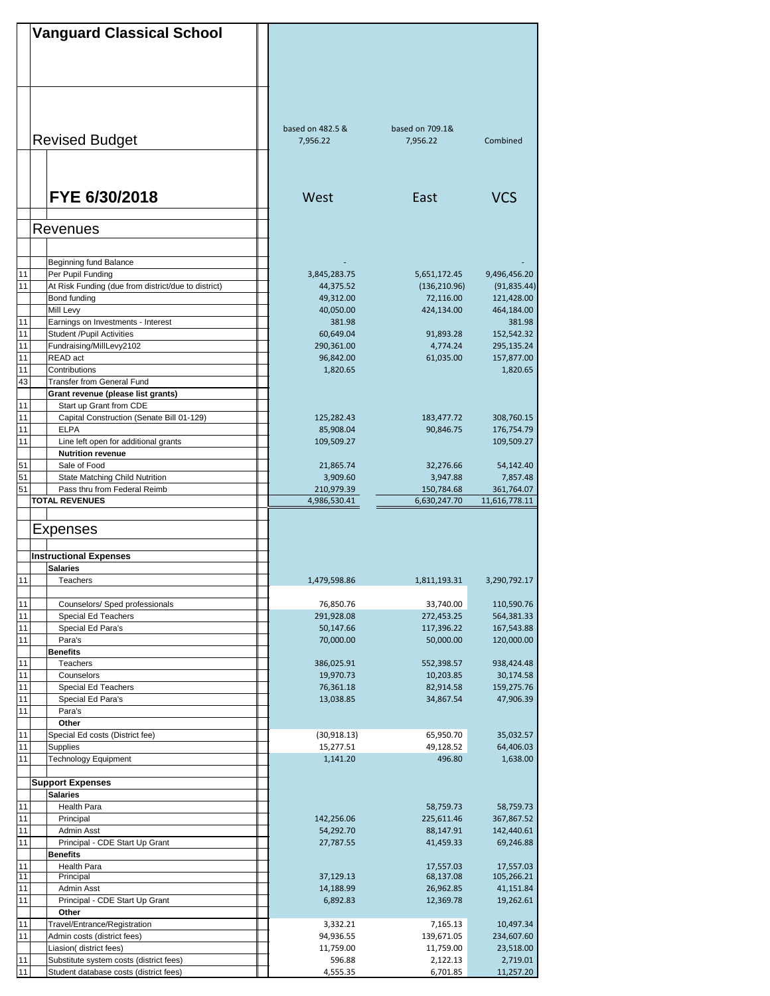|          | <b>Vanguard Classical School</b>                                   |                            |                            |                             |
|----------|--------------------------------------------------------------------|----------------------------|----------------------------|-----------------------------|
|          |                                                                    |                            |                            |                             |
|          |                                                                    |                            |                            |                             |
|          |                                                                    |                            |                            |                             |
|          |                                                                    |                            |                            |                             |
|          |                                                                    |                            |                            |                             |
|          |                                                                    |                            |                            |                             |
|          |                                                                    | based on 482.5 &           | based on 709.1&            |                             |
|          | <b>Revised Budget</b>                                              | 7.956.22                   | 7.956.22                   | Combined                    |
|          |                                                                    |                            |                            |                             |
|          |                                                                    |                            |                            |                             |
|          |                                                                    |                            |                            |                             |
|          | FYE 6/30/2018                                                      | West                       | East                       | <b>VCS</b>                  |
|          |                                                                    |                            |                            |                             |
|          |                                                                    |                            |                            |                             |
|          | Revenues                                                           |                            |                            |                             |
|          |                                                                    |                            |                            |                             |
|          | Beginning fund Balance                                             |                            |                            |                             |
| 11       | Per Pupil Funding                                                  | 3,845,283.75               | 5,651,172.45               | 9,496,456.20                |
| 11       | At Risk Funding (due from district/due to district)                | 44,375.52                  | (136, 210.96)              | (91, 835.44)                |
|          | Bond funding                                                       | 49,312.00                  | 72,116.00                  | 121,428.00                  |
|          | Mill Levy                                                          | 40,050.00                  | 424,134.00                 | 464,184.00                  |
| 11       | Earnings on Investments - Interest                                 | 381.98                     |                            | 381.98                      |
| 11       | <b>Student /Pupil Activities</b>                                   | 60,649.04                  | 91,893.28                  | 152,542.32                  |
| 11<br>11 | Fundraising/MillLevy2102<br>READ act                               | 290,361.00<br>96,842.00    | 4,774.24<br>61,035.00      | 295,135.24<br>157,877.00    |
| 11       | Contributions                                                      | 1,820.65                   |                            | 1,820.65                    |
| 43       | <b>Transfer from General Fund</b>                                  |                            |                            |                             |
|          | Grant revenue (please list grants)                                 |                            |                            |                             |
| 11       | Start up Grant from CDE                                            |                            |                            |                             |
| 11       | Capital Construction (Senate Bill 01-129)                          | 125,282.43                 | 183,477.72                 | 308,760.15                  |
| 11       | <b>ELPA</b>                                                        | 85,908.04                  | 90,846.75                  | 176,754.79                  |
| 11       | Line left open for additional grants                               | 109,509.27                 |                            | 109,509.27                  |
|          | <b>Nutrition revenue</b>                                           |                            |                            |                             |
| 51       | Sale of Food                                                       | 21,865.74                  | 32,276.66                  | 54,142.40                   |
| 51       | State Matching Child Nutrition                                     | 3,909.60                   | 3,947.88                   | 7,857.48                    |
| 51       | Pass thru from Federal Reimb<br><b>TOTAL REVENUES</b>              | 210,979.39<br>4,986,530.41 | 150,784.68<br>6,630,247.70 | 361,764.07<br>11,616,778.11 |
|          |                                                                    |                            |                            |                             |
|          |                                                                    |                            |                            |                             |
|          | Expenses                                                           |                            |                            |                             |
|          |                                                                    |                            |                            |                             |
|          | <b>Instructional Expenses</b>                                      |                            |                            |                             |
|          | <b>Salaries</b><br>Teachers                                        |                            |                            |                             |
| 11       |                                                                    | 1,479,598.86               | 1,811,193.31               | 3,290,792.17                |
| 11       | Counselors/ Sped professionals                                     | 76,850.76                  | 33,740.00                  | 110,590.76                  |
| 11       | <b>Special Ed Teachers</b>                                         | 291,928.08                 | 272,453.25                 | 564,381.33                  |
| 11       | Special Ed Para's                                                  | 50,147.66                  | 117,396.22                 | 167,543.88                  |
| 11       | Para's                                                             | 70,000.00                  | 50,000.00                  | 120,000.00                  |
|          | <b>Benefits</b>                                                    |                            |                            |                             |
| 11       | Teachers                                                           | 386,025.91                 | 552,398.57                 | 938,424.48                  |
| 11       | Counselors                                                         | 19,970.73                  | 10,203.85                  | 30,174.58                   |
| 11       | Special Ed Teachers                                                | 76,361.18                  | 82,914.58                  | 159,275.76                  |
| 11       | Special Ed Para's<br>Para's                                        | 13,038.85                  | 34,867.54                  | 47,906.39                   |
| 11       | Other                                                              |                            |                            |                             |
| 11       | Special Ed costs (District fee)                                    | (30,918.13)                | 65,950.70                  | 35,032.57                   |
| 11       | <b>Supplies</b>                                                    | 15,277.51                  | 49,128.52                  | 64,406.03                   |
| 11       | <b>Technology Equipment</b>                                        | 1,141.20                   | 496.80                     | 1,638.00                    |
|          |                                                                    |                            |                            |                             |
|          | <b>Support Expenses</b>                                            |                            |                            |                             |
|          | <b>Salaries</b>                                                    |                            |                            |                             |
| 11       | Health Para                                                        |                            | 58,759.73                  | 58,759.73                   |
| 11       | Principal                                                          | 142,256.06                 | 225,611.46                 | 367,867.52                  |
| 11<br>11 | Admin Asst<br>Principal - CDE Start Up Grant                       | 54,292.70                  | 88,147.91                  | 142,440.61                  |
|          | <b>Benefits</b>                                                    | 27,787.55                  | 41,459.33                  | 69,246.88                   |
| 11       | Health Para                                                        |                            | 17,557.03                  | 17,557.03                   |
| 11       | Principal                                                          | 37,129.13                  | 68,137.08                  | 105,266.21                  |
| 11       | Admin Asst                                                         | 14,188.99                  | 26,962.85                  | 41,151.84                   |
| 11       | Principal - CDE Start Up Grant                                     | 6,892.83                   | 12,369.78                  | 19,262.61                   |
|          | Other                                                              |                            |                            |                             |
| 11       | Travel/Entrance/Registration                                       | 3,332.21                   | 7,165.13                   | 10,497.34                   |
| 11       | Admin costs (district fees)                                        | 94,936.55                  | 139,671.05                 | 234,607.60                  |
|          | Liasion( district fees)<br>Substitute system costs (district fees) | 11,759.00                  | 11,759.00                  | 23,518.00                   |
| 11<br>11 | Student database costs (district fees)                             | 596.88<br>4,555.35         | 2,122.13<br>6,701.85       | 2,719.01<br>11,257.20       |
|          |                                                                    |                            |                            |                             |